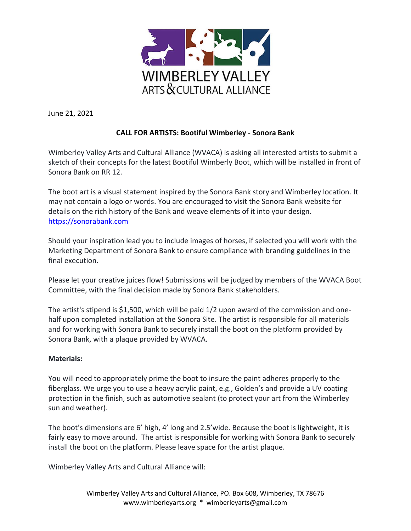

June 21, 2021

## **CALL FOR ARTISTS: Bootiful Wimberley - Sonora Bank**

Wimberley Valley Arts and Cultural Alliance (WVACA) is asking all interested artists to submit a sketch of their concepts for the latest Bootiful Wimberly Boot, which will be installed in front of Sonora Bank on RR 12.

The boot art is a visual statement inspired by the Sonora Bank story and Wimberley location. It may not contain a logo or words. You are encouraged to visit the Sonora Bank website for details on the rich history of the Bank and weave elements of it into your design. [https://sonorabank.com](https://sonorabank.com/)

Should your inspiration lead you to include images of horses, if selected you will work with the Marketing Department of Sonora Bank to ensure compliance with branding guidelines in the final execution.

Please let your creative juices flow! Submissions will be judged by members of the WVACA Boot Committee, with the final decision made by Sonora Bank stakeholders.

The artist's stipend is \$1,500, which will be paid 1/2 upon award of the commission and onehalf upon completed installation at the Sonora Site. The artist is responsible for all materials and for working with Sonora Bank to securely install the boot on the platform provided by Sonora Bank, with a plaque provided by WVACA.

## **Materials:**

You will need to appropriately prime the boot to insure the paint adheres properly to the fiberglass. We urge you to use a heavy acrylic paint, e.g., Golden's and provide a UV coating protection in the finish, such as automotive sealant (to protect your art from the Wimberley sun and weather).

The boot's dimensions are 6' high, 4' long and 2.5'wide. Because the boot is lightweight, it is fairly easy to move around. The artist is responsible for working with Sonora Bank to securely install the boot on the platform. Please leave space for the artist plaque.

Wimberley Valley Arts and Cultural Alliance will: